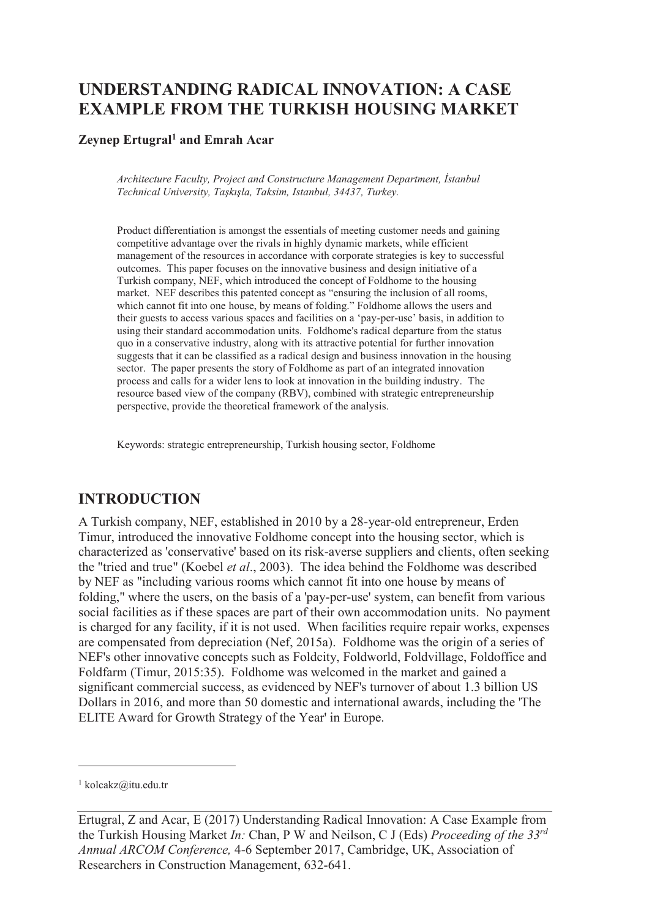# **UNDERSTANDING RADICAL INNOVATION: A CASE EXAMPLE FROM THE TURKISH HOUSING MARKET**

#### **Zeynep Ertugral<sup>1</sup> and Emrah Acar**

*Architecture Faculty, Project and Constructure Management Department, İstanbul Technical University, Taşkışla, Taksim, Istanbul, 34437, Turkey.* 

Product differentiation is amongst the essentials of meeting customer needs and gaining competitive advantage over the rivals in highly dynamic markets, while efficient management of the resources in accordance with corporate strategies is key to successful outcomes. This paper focuses on the innovative business and design initiative of a Turkish company, NEF, which introduced the concept of Foldhome to the housing market. NEF describes this patented concept as "ensuring the inclusion of all rooms, which cannot fit into one house, by means of folding." Foldhome allows the users and their guests to access various spaces and facilities on a 'pay-per-use' basis, in addition to using their standard accommodation units. Foldhome's radical departure from the status quo in a conservative industry, along with its attractive potential for further innovation suggests that it can be classified as a radical design and business innovation in the housing sector. The paper presents the story of Foldhome as part of an integrated innovation process and calls for a wider lens to look at innovation in the building industry. The resource based view of the company (RBV), combined with strategic entrepreneurship perspective, provide the theoretical framework of the analysis.

Keywords: strategic entrepreneurship, Turkish housing sector, Foldhome

## **INTRODUCTION**

A Turkish company, NEF, established in 2010 by a 28-year-old entrepreneur, Erden Timur, introduced the innovative Foldhome concept into the housing sector, which is characterized as 'conservative' based on its risk-averse suppliers and clients, often seeking the "tried and true" (Koebel *et al*., 2003). The idea behind the Foldhome was described by NEF as "including various rooms which cannot fit into one house by means of folding," where the users, on the basis of a 'pay-per-use' system, can benefit from various social facilities as if these spaces are part of their own accommodation units. No payment is charged for any facility, if it is not used. When facilities require repair works, expenses are compensated from depreciation (Nef, 2015a). Foldhome was the origin of a series of NEF's other innovative concepts such as Foldcity, Foldworld, Foldvillage, Foldoffice and Foldfarm (Timur, 2015:35). Foldhome was welcomed in the market and gained a significant commercial success, as evidenced by NEF's turnover of about 1.3 billion US Dollars in 2016, and more than 50 domestic and international awards, including the 'The ELITE Award for Growth Strategy of the Year' in Europe.

-

<sup>1</sup> kolcakz@itu.edu.tr

Ertugral, Z and Acar, E (2017) Understanding Radical Innovation: A Case Example from the Turkish Housing Market *In:* Chan, P W and Neilson, C J (Eds) *Proceeding of the 33rd Annual ARCOM Conference,* 4-6 September 2017, Cambridge, UK, Association of Researchers in Construction Management, 632-641.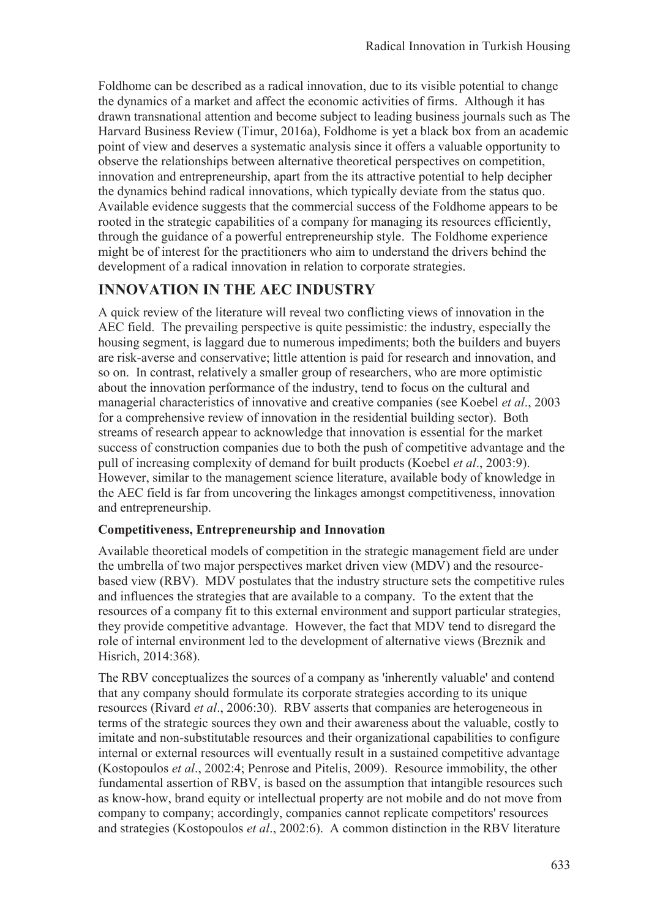Foldhome can be described as a radical innovation, due to its visible potential to change the dynamics of a market and affect the economic activities of firms. Although it has drawn transnational attention and become subject to leading business journals such as The Harvard Business Review (Timur, 2016a), Foldhome is yet a black box from an academic point of view and deserves a systematic analysis since it offers a valuable opportunity to observe the relationships between alternative theoretical perspectives on competition, innovation and entrepreneurship, apart from the its attractive potential to help decipher the dynamics behind radical innovations, which typically deviate from the status quo. Available evidence suggests that the commercial success of the Foldhome appears to be rooted in the strategic capabilities of a company for managing its resources efficiently, through the guidance of a powerful entrepreneurship style. The Foldhome experience might be of interest for the practitioners who aim to understand the drivers behind the development of a radical innovation in relation to corporate strategies.

## **INNOVATION IN THE AEC INDUSTRY**

A quick review of the literature will reveal two conflicting views of innovation in the AEC field. The prevailing perspective is quite pessimistic: the industry, especially the housing segment, is laggard due to numerous impediments; both the builders and buyers are risk-averse and conservative; little attention is paid for research and innovation, and so on. In contrast, relatively a smaller group of researchers, who are more optimistic about the innovation performance of the industry, tend to focus on the cultural and managerial characteristics of innovative and creative companies (see Koebel *et al*., 2003 for a comprehensive review of innovation in the residential building sector). Both streams of research appear to acknowledge that innovation is essential for the market success of construction companies due to both the push of competitive advantage and the pull of increasing complexity of demand for built products (Koebel *et al*., 2003:9). However, similar to the management science literature, available body of knowledge in the AEC field is far from uncovering the linkages amongst competitiveness, innovation and entrepreneurship.

## **Competitiveness, Entrepreneurship and Innovation**

Available theoretical models of competition in the strategic management field are under the umbrella of two major perspectives market driven view (MDV) and the resourcebased view (RBV). MDV postulates that the industry structure sets the competitive rules and influences the strategies that are available to a company. To the extent that the resources of a company fit to this external environment and support particular strategies, they provide competitive advantage. However, the fact that MDV tend to disregard the role of internal environment led to the development of alternative views (Breznik and Hisrich, 2014:368).

The RBV conceptualizes the sources of a company as 'inherently valuable' and contend that any company should formulate its corporate strategies according to its unique resources (Rivard *et al*., 2006:30). RBV asserts that companies are heterogeneous in terms of the strategic sources they own and their awareness about the valuable, costly to imitate and non-substitutable resources and their organizational capabilities to configure internal or external resources will eventually result in a sustained competitive advantage (Kostopoulos *et al*., 2002:4; Penrose and Pitelis, 2009). Resource immobility, the other fundamental assertion of RBV, is based on the assumption that intangible resources such as know-how, brand equity or intellectual property are not mobile and do not move from company to company; accordingly, companies cannot replicate competitors' resources and strategies (Kostopoulos *et al*., 2002:6). A common distinction in the RBV literature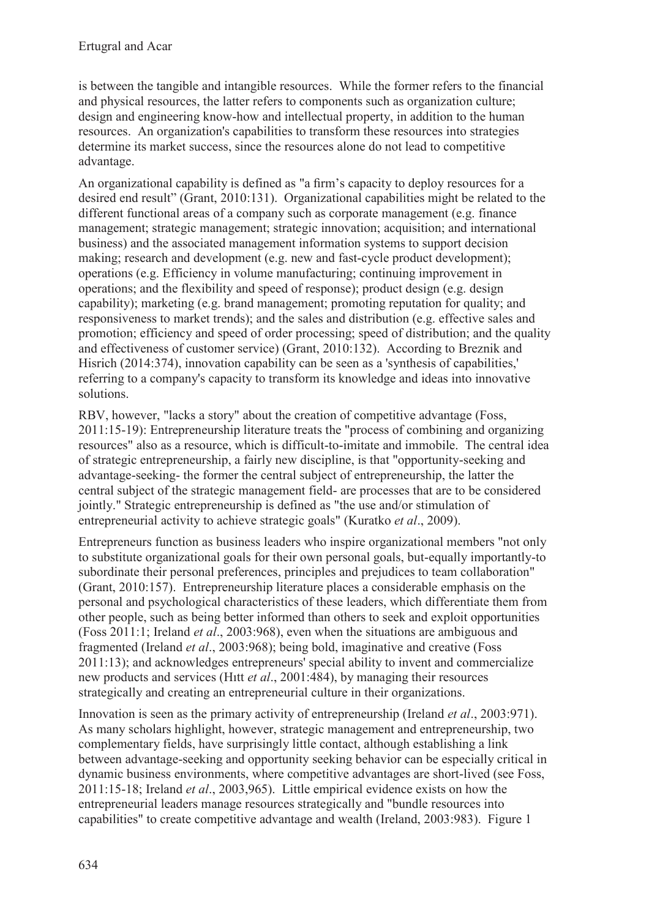is between the tangible and intangible resources. While the former refers to the financial and physical resources, the latter refers to components such as organization culture; design and engineering know-how and intellectual property, in addition to the human resources. An organization's capabilities to transform these resources into strategies determine its market success, since the resources alone do not lead to competitive advantage.

An organizational capability is defined as "a firm's capacity to deploy resources for a desired end result" (Grant, 2010:131). Organizational capabilities might be related to the different functional areas of a company such as corporate management (e.g. finance management; strategic management; strategic innovation; acquisition; and international business) and the associated management information systems to support decision making; research and development (e.g. new and fast-cycle product development); operations (e.g. Efficiency in volume manufacturing; continuing improvement in operations; and the flexibility and speed of response); product design (e.g. design capability); marketing (e.g. brand management; promoting reputation for quality; and responsiveness to market trends); and the sales and distribution (e.g. effective sales and promotion; efficiency and speed of order processing; speed of distribution; and the quality and effectiveness of customer service) (Grant, 2010:132). According to Breznik and Hisrich (2014:374), innovation capability can be seen as a 'synthesis of capabilities,' referring to a company's capacity to transform its knowledge and ideas into innovative solutions.

RBV, however, "lacks a story" about the creation of competitive advantage (Foss, 2011:15-19): Entrepreneurship literature treats the "process of combining and organizing resources" also as a resource, which is difficult-to-imitate and immobile. The central idea of strategic entrepreneurship, a fairly new discipline, is that "opportunity-seeking and advantage-seeking- the former the central subject of entrepreneurship, the latter the central subject of the strategic management field- are processes that are to be considered jointly." Strategic entrepreneurship is defined as "the use and/or stimulation of entrepreneurial activity to achieve strategic goals" (Kuratko *et al*., 2009).

Entrepreneurs function as business leaders who inspire organizational members "not only to substitute organizational goals for their own personal goals, but-equally importantly-to subordinate their personal preferences, principles and prejudices to team collaboration" (Grant, 2010:157). Entrepreneurship literature places a considerable emphasis on the personal and psychological characteristics of these leaders, which differentiate them from other people, such as being better informed than others to seek and exploit opportunities (Foss 2011:1; Ireland *et al*., 2003:968), even when the situations are ambiguous and fragmented (Ireland *et al*., 2003:968); being bold, imaginative and creative (Foss 2011:13); and acknowledges entrepreneurs' special ability to invent and commercialize new products and services (Hıtt *et al*., 2001:484), by managing their resources strategically and creating an entrepreneurial culture in their organizations.

Innovation is seen as the primary activity of entrepreneurship (Ireland *et al*., 2003:971). As many scholars highlight, however, strategic management and entrepreneurship, two complementary fields, have surprisingly little contact, although establishing a link between advantage-seeking and opportunity seeking behavior can be especially critical in dynamic business environments, where competitive advantages are short-lived (see Foss, 2011:15-18; Ireland *et al*., 2003,965). Little empirical evidence exists on how the entrepreneurial leaders manage resources strategically and "bundle resources into capabilities" to create competitive advantage and wealth (Ireland, 2003:983). Figure 1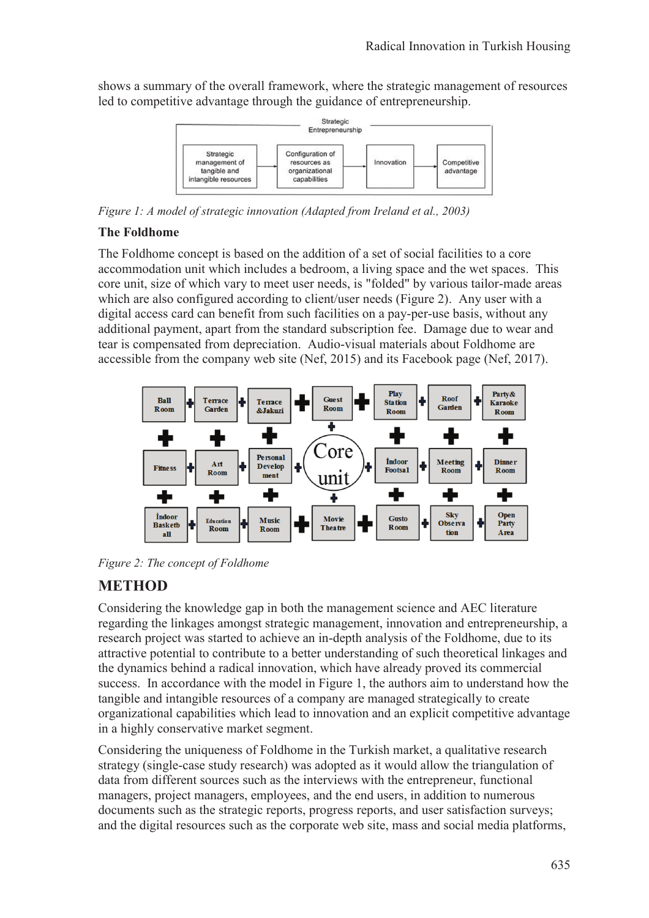shows a summary of the overall framework, where the strategic management of resources led to competitive advantage through the guidance of entrepreneurship.



*Figure 1: A model of strategic innovation (Adapted from Ireland et al., 2003)* 

### **The Foldhome**

The Foldhome concept is based on the addition of a set of social facilities to a core accommodation unit which includes a bedroom, a living space and the wet spaces. This core unit, size of which vary to meet user needs, is "folded" by various tailor-made areas which are also configured according to client/user needs (Figure 2). Any user with a digital access card can benefit from such facilities on a pay-per-use basis, without any additional payment, apart from the standard subscription fee. Damage due to wear and tear is compensated from depreciation. Audio-visual materials about Foldhome are accessible from the company web site (Nef, 2015) and its Facebook page (Nef, 2017).



*Figure 2: The concept of Foldhome* 

## **METHOD**

Considering the knowledge gap in both the management science and AEC literature regarding the linkages amongst strategic management, innovation and entrepreneurship, a research project was started to achieve an in-depth analysis of the Foldhome, due to its attractive potential to contribute to a better understanding of such theoretical linkages and the dynamics behind a radical innovation, which have already proved its commercial success. In accordance with the model in Figure 1, the authors aim to understand how the tangible and intangible resources of a company are managed strategically to create organizational capabilities which lead to innovation and an explicit competitive advantage in a highly conservative market segment.

Considering the uniqueness of Foldhome in the Turkish market, a qualitative research strategy (single-case study research) was adopted as it would allow the triangulation of data from different sources such as the interviews with the entrepreneur, functional managers, project managers, employees, and the end users, in addition to numerous documents such as the strategic reports, progress reports, and user satisfaction surveys; and the digital resources such as the corporate web site, mass and social media platforms,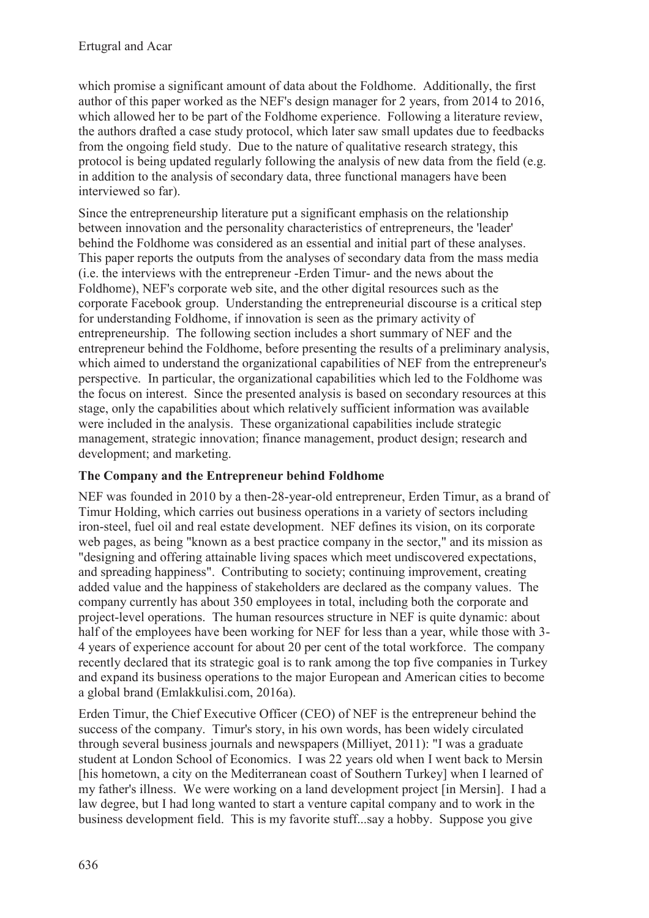which promise a significant amount of data about the Foldhome. Additionally, the first author of this paper worked as the NEF's design manager for 2 years, from 2014 to 2016, which allowed her to be part of the Foldhome experience. Following a literature review, the authors drafted a case study protocol, which later saw small updates due to feedbacks from the ongoing field study. Due to the nature of qualitative research strategy, this protocol is being updated regularly following the analysis of new data from the field (e.g. in addition to the analysis of secondary data, three functional managers have been interviewed so far).

Since the entrepreneurship literature put a significant emphasis on the relationship between innovation and the personality characteristics of entrepreneurs, the 'leader' behind the Foldhome was considered as an essential and initial part of these analyses. This paper reports the outputs from the analyses of secondary data from the mass media (i.e. the interviews with the entrepreneur -Erden Timur- and the news about the Foldhome), NEF's corporate web site, and the other digital resources such as the corporate Facebook group. Understanding the entrepreneurial discourse is a critical step for understanding Foldhome, if innovation is seen as the primary activity of entrepreneurship. The following section includes a short summary of NEF and the entrepreneur behind the Foldhome, before presenting the results of a preliminary analysis, which aimed to understand the organizational capabilities of NEF from the entrepreneur's perspective. In particular, the organizational capabilities which led to the Foldhome was the focus on interest. Since the presented analysis is based on secondary resources at this stage, only the capabilities about which relatively sufficient information was available were included in the analysis. These organizational capabilities include strategic management, strategic innovation; finance management, product design; research and development; and marketing.

## **The Company and the Entrepreneur behind Foldhome**

NEF was founded in 2010 by a then-28-year-old entrepreneur, Erden Timur, as a brand of Timur Holding, which carries out business operations in a variety of sectors including iron-steel, fuel oil and real estate development. NEF defines its vision, on its corporate web pages, as being "known as a best practice company in the sector," and its mission as "designing and offering attainable living spaces which meet undiscovered expectations, and spreading happiness". Contributing to society; continuing improvement, creating added value and the happiness of stakeholders are declared as the company values. The company currently has about 350 employees in total, including both the corporate and project-level operations. The human resources structure in NEF is quite dynamic: about half of the employees have been working for NEF for less than a year, while those with 3- 4 years of experience account for about 20 per cent of the total workforce. The company recently declared that its strategic goal is to rank among the top five companies in Turkey and expand its business operations to the major European and American cities to become a global brand (Emlakkulisi.com, 2016a).

Erden Timur, the Chief Executive Officer (CEO) of NEF is the entrepreneur behind the success of the company. Timur's story, in his own words, has been widely circulated through several business journals and newspapers (Milliyet, 2011): "I was a graduate student at London School of Economics. I was 22 years old when I went back to Mersin [his hometown, a city on the Mediterranean coast of Southern Turkey] when I learned of my father's illness. We were working on a land development project [in Mersin]. I had a law degree, but I had long wanted to start a venture capital company and to work in the business development field. This is my favorite stuff...say a hobby. Suppose you give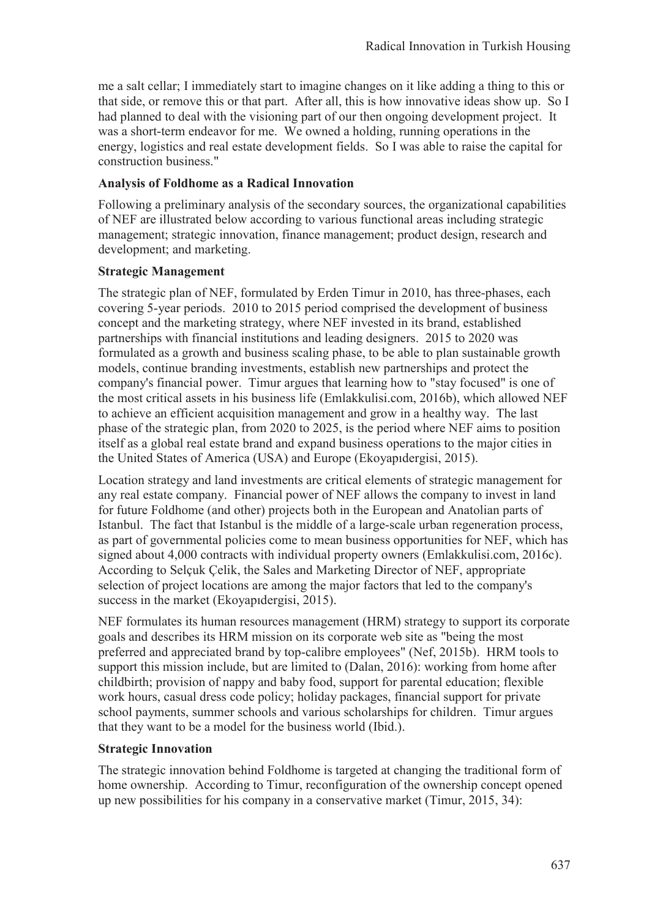me a salt cellar; I immediately start to imagine changes on it like adding a thing to this or that side, or remove this or that part. After all, this is how innovative ideas show up. So I had planned to deal with the visioning part of our then ongoing development project. It was a short-term endeavor for me. We owned a holding, running operations in the energy, logistics and real estate development fields. So I was able to raise the capital for construction business."

#### **Analysis of Foldhome as a Radical Innovation**

Following a preliminary analysis of the secondary sources, the organizational capabilities of NEF are illustrated below according to various functional areas including strategic management; strategic innovation, finance management; product design, research and development; and marketing.

#### **Strategic Management**

The strategic plan of NEF, formulated by Erden Timur in 2010, has three-phases, each covering 5-year periods. 2010 to 2015 period comprised the development of business concept and the marketing strategy, where NEF invested in its brand, established partnerships with financial institutions and leading designers. 2015 to 2020 was formulated as a growth and business scaling phase, to be able to plan sustainable growth models, continue branding investments, establish new partnerships and protect the company's financial power. Timur argues that learning how to "stay focused" is one of the most critical assets in his business life (Emlakkulisi.com, 2016b), which allowed NEF to achieve an efficient acquisition management and grow in a healthy way. The last phase of the strategic plan, from 2020 to 2025, is the period where NEF aims to position itself as a global real estate brand and expand business operations to the major cities in the United States of America (USA) and Europe (Ekoyapıdergisi, 2015).

Location strategy and land investments are critical elements of strategic management for any real estate company. Financial power of NEF allows the company to invest in land for future Foldhome (and other) projects both in the European and Anatolian parts of Istanbul. The fact that Istanbul is the middle of a large-scale urban regeneration process, as part of governmental policies come to mean business opportunities for NEF, which has signed about 4,000 contracts with individual property owners (Emlakkulisi.com, 2016c). According to Selçuk Çelik, the Sales and Marketing Director of NEF, appropriate selection of project locations are among the major factors that led to the company's success in the market (Ekoyapıdergisi, 2015).

NEF formulates its human resources management (HRM) strategy to support its corporate goals and describes its HRM mission on its corporate web site as "being the most preferred and appreciated brand by top-calibre employees" (Nef, 2015b). HRM tools to support this mission include, but are limited to (Dalan, 2016): working from home after childbirth; provision of nappy and baby food, support for parental education; flexible work hours, casual dress code policy; holiday packages, financial support for private school payments, summer schools and various scholarships for children. Timur argues that they want to be a model for the business world (Ibid.).

#### **Strategic Innovation**

The strategic innovation behind Foldhome is targeted at changing the traditional form of home ownership. According to Timur, reconfiguration of the ownership concept opened up new possibilities for his company in a conservative market (Timur, 2015, 34):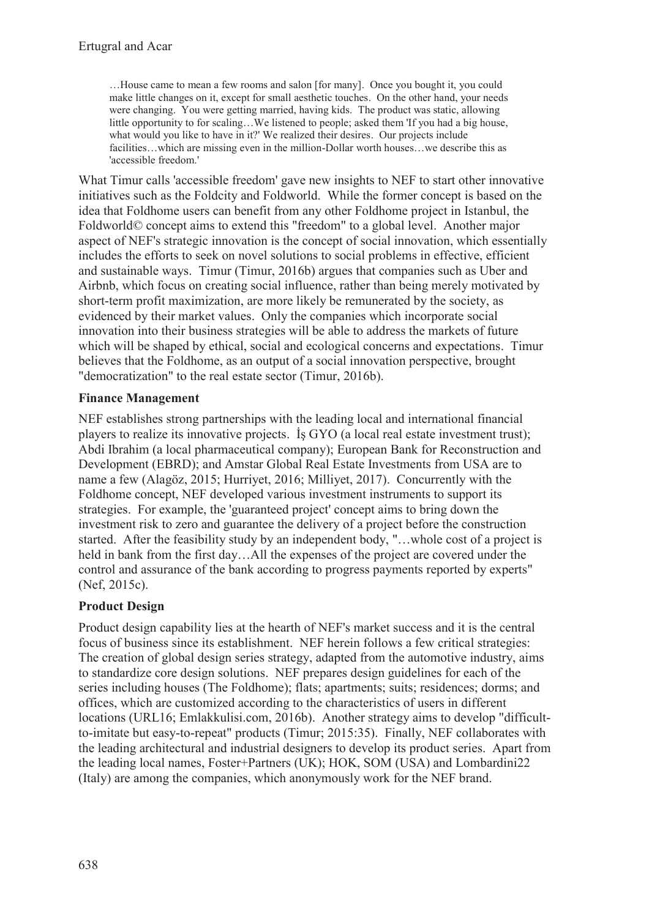…House came to mean a few rooms and salon [for many]. Once you bought it, you could make little changes on it, except for small aesthetic touches. On the other hand, your needs were changing. You were getting married, having kids. The product was static, allowing little opportunity to for scaling…We listened to people; asked them 'If you had a big house, what would you like to have in it?' We realized their desires. Our projects include facilities…which are missing even in the million-Dollar worth houses…we describe this as 'accessible freedom.'

What Timur calls 'accessible freedom' gave new insights to NEF to start other innovative initiatives such as the Foldcity and Foldworld. While the former concept is based on the idea that Foldhome users can benefit from any other Foldhome project in Istanbul, the Foldworld© concept aims to extend this "freedom" to a global level. Another major aspect of NEF's strategic innovation is the concept of social innovation, which essentially includes the efforts to seek on novel solutions to social problems in effective, efficient and sustainable ways. Timur (Timur, 2016b) argues that companies such as Uber and Airbnb, which focus on creating social influence, rather than being merely motivated by short-term profit maximization, are more likely be remunerated by the society, as evidenced by their market values. Only the companies which incorporate social innovation into their business strategies will be able to address the markets of future which will be shaped by ethical, social and ecological concerns and expectations. Timur believes that the Foldhome, as an output of a social innovation perspective, brought "democratization" to the real estate sector (Timur, 2016b).

### **Finance Management**

NEF establishes strong partnerships with the leading local and international financial players to realize its innovative projects. İş GYO (a local real estate investment trust); Abdi Ibrahim (a local pharmaceutical company); European Bank for Reconstruction and Development (EBRD); and Amstar Global Real Estate Investments from USA are to name a few (Alagöz, 2015; Hurriyet, 2016; Milliyet, 2017). Concurrently with the Foldhome concept, NEF developed various investment instruments to support its strategies. For example, the 'guaranteed project' concept aims to bring down the investment risk to zero and guarantee the delivery of a project before the construction started. After the feasibility study by an independent body, "…whole cost of a project is held in bank from the first day…All the expenses of the project are covered under the control and assurance of the bank according to progress payments reported by experts" (Nef, 2015c).

## **Product Design**

Product design capability lies at the hearth of NEF's market success and it is the central focus of business since its establishment. NEF herein follows a few critical strategies: The creation of global design series strategy, adapted from the automotive industry, aims to standardize core design solutions. NEF prepares design guidelines for each of the series including houses (The Foldhome); flats; apartments; suits; residences; dorms; and offices, which are customized according to the characteristics of users in different locations (URL16; Emlakkulisi.com, 2016b). Another strategy aims to develop "difficultto-imitate but easy-to-repeat" products (Timur; 2015:35). Finally, NEF collaborates with the leading architectural and industrial designers to develop its product series. Apart from the leading local names, Foster+Partners (UK); HOK, SOM (USA) and Lombardini22 (Italy) are among the companies, which anonymously work for the NEF brand.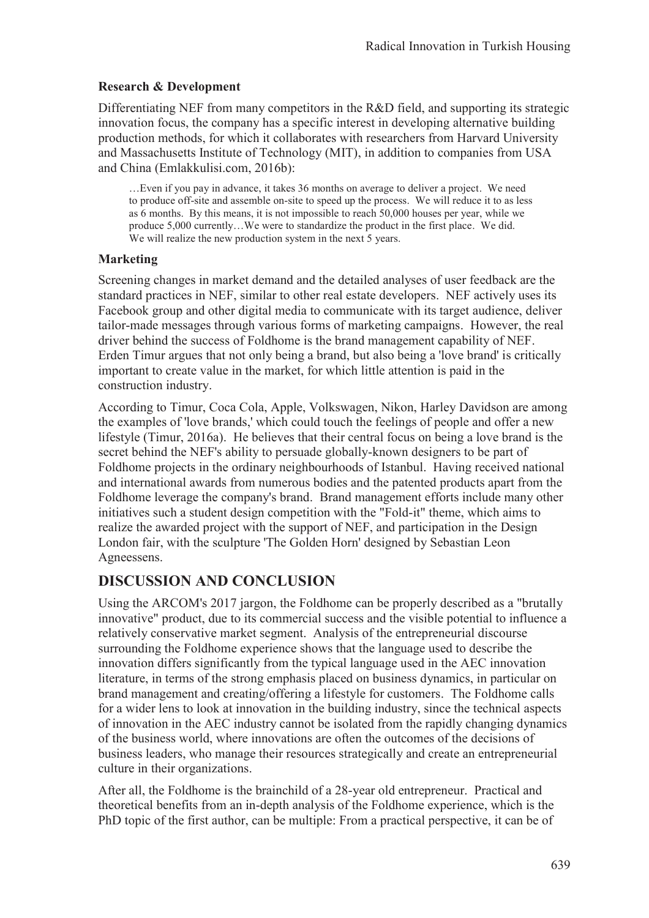#### **Research & Development**

Differentiating NEF from many competitors in the R&D field, and supporting its strategic innovation focus, the company has a specific interest in developing alternative building production methods, for which it collaborates with researchers from Harvard University and Massachusetts Institute of Technology (MIT), in addition to companies from USA and China (Emlakkulisi.com, 2016b):

…Even if you pay in advance, it takes 36 months on average to deliver a project. We need to produce off-site and assemble on-site to speed up the process. We will reduce it to as less as 6 months. By this means, it is not impossible to reach 50,000 houses per year, while we produce 5,000 currently…We were to standardize the product in the first place. We did. We will realize the new production system in the next 5 years.

#### **Marketing**

Screening changes in market demand and the detailed analyses of user feedback are the standard practices in NEF, similar to other real estate developers. NEF actively uses its Facebook group and other digital media to communicate with its target audience, deliver tailor-made messages through various forms of marketing campaigns. However, the real driver behind the success of Foldhome is the brand management capability of NEF. Erden Timur argues that not only being a brand, but also being a 'love brand' is critically important to create value in the market, for which little attention is paid in the construction industry.

According to Timur, Coca Cola, Apple, Volkswagen, Nikon, Harley Davidson are among the examples of 'love brands,' which could touch the feelings of people and offer a new lifestyle (Timur, 2016a). He believes that their central focus on being a love brand is the secret behind the NEF's ability to persuade globally-known designers to be part of Foldhome projects in the ordinary neighbourhoods of Istanbul. Having received national and international awards from numerous bodies and the patented products apart from the Foldhome leverage the company's brand. Brand management efforts include many other initiatives such a student design competition with the "Fold-it" theme, which aims to realize the awarded project with the support of NEF, and participation in the Design London fair, with the sculpture 'The Golden Horn' designed by Sebastian Leon Agneessens.

## **DISCUSSION AND CONCLUSION**

Using the ARCOM's 2017 jargon, the Foldhome can be properly described as a "brutally innovative" product, due to its commercial success and the visible potential to influence a relatively conservative market segment. Analysis of the entrepreneurial discourse surrounding the Foldhome experience shows that the language used to describe the innovation differs significantly from the typical language used in the AEC innovation literature, in terms of the strong emphasis placed on business dynamics, in particular on brand management and creating/offering a lifestyle for customers. The Foldhome calls for a wider lens to look at innovation in the building industry, since the technical aspects of innovation in the AEC industry cannot be isolated from the rapidly changing dynamics of the business world, where innovations are often the outcomes of the decisions of business leaders, who manage their resources strategically and create an entrepreneurial culture in their organizations.

After all, the Foldhome is the brainchild of a 28-year old entrepreneur. Practical and theoretical benefits from an in-depth analysis of the Foldhome experience, which is the PhD topic of the first author, can be multiple: From a practical perspective, it can be of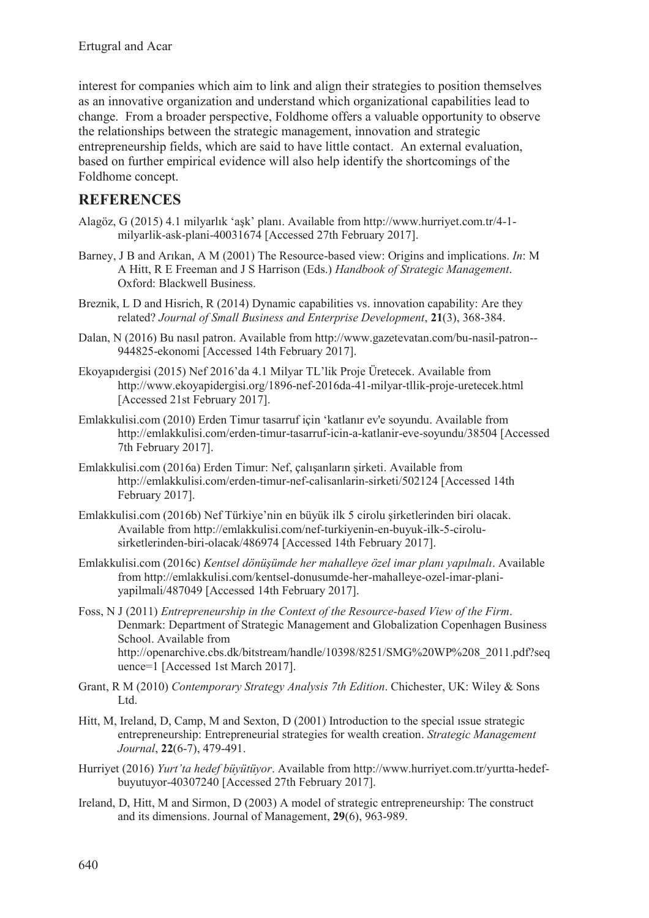interest for companies which aim to link and align their strategies to position themselves as an innovative organization and understand which organizational capabilities lead to change. From a broader perspective, Foldhome offers a valuable opportunity to observe the relationships between the strategic management, innovation and strategic entrepreneurship fields, which are said to have little contact. An external evaluation, based on further empirical evidence will also help identify the shortcomings of the Foldhome concept.

## **REFERENCES**

- Alagöz, G (2015) 4.1 milyarlık 'aşk' planı. Available from http://www.hurriyet.com.tr/4-1 milyarlik-ask-plani-40031674 [Accessed 27th February 2017].
- Barney, J B and Arıkan, A M (2001) The Resource-based view: Origins and implications. *In*: M A Hitt, R E Freeman and J S Harrison (Eds.) *Handbook of Strategic Management*. Oxford: Blackwell Business.
- Breznik, L D and Hisrich, R (2014) Dynamic capabilities vs. innovation capability: Are they related? *Journal of Small Business and Enterprise Development*, **21**(3), 368-384.
- Dalan, N (2016) Bu nasıl patron. Available from http://www.gazetevatan.com/bu-nasil-patron-- 944825-ekonomi [Accessed 14th February 2017].
- Ekoyapıdergisi (2015) Nef 2016'da 4.1 Milyar TL'lik Proje Üretecek. Available from http://www.ekoyapidergisi.org/1896-nef-2016da-41-milyar-tllik-proje-uretecek.html [Accessed 21st February 2017].
- Emlakkulisi.com (2010) Erden Timur tasarruf için 'katlanır ev'e soyundu. Available from http://emlakkulisi.com/erden-timur-tasarruf-icin-a-katlanir-eve-soyundu/38504 [Accessed 7th February 2017].
- Emlakkulisi.com (2016a) Erden Timur: Nef, çalışanların şirketi. Available from http://emlakkulisi.com/erden-timur-nef-calisanlarin-sirketi/502124 [Accessed 14th February 2017].
- Emlakkulisi.com (2016b) Nef Türkiye'nin en büyük ilk 5 cirolu şirketlerinden biri olacak. Available from http://emlakkulisi.com/nef-turkiyenin-en-buyuk-ilk-5-cirolusirketlerinden-biri-olacak/486974 [Accessed 14th February 2017].
- Emlakkulisi.com (2016c) *Kentsel dönüşümde her mahalleye özel imar planı yapılmalı*. Available from http://emlakkulisi.com/kentsel-donusumde-her-mahalleye-ozel-imar-planiyapilmali/487049 [Accessed 14th February 2017].
- Foss, N J (2011) *Entrepreneurship in the Context of the Resource-based View of the Firm*. Denmark: Department of Strategic Management and Globalization Copenhagen Business School. Available from http://openarchive.cbs.dk/bitstream/handle/10398/8251/SMG%20WP%208\_2011.pdf?seq uence=1 [Accessed 1st March 2017].
- Grant, R M (2010) *Contemporary Strategy Analysis 7th Edition*. Chichester, UK: Wiley & Sons Ltd.
- Hitt, M, Ireland, D, Camp, M and Sexton, D (2001) Introduction to the special issue strategic entrepreneurship: Entrepreneurial strategies for wealth creation. *Strategic Management Journal*, **22**(6-7), 479-491.
- Hurriyet (2016) *Yurt'ta hedef büyütüyor*. Available from http://www.hurriyet.com.tr/yurtta-hedefbuyutuyor-40307240 [Accessed 27th February 2017].
- Ireland, D, Hitt, M and Sirmon, D (2003) A model of strategic entrepreneurship: The construct and its dimensions. Journal of Management, **29**(6), 963-989.